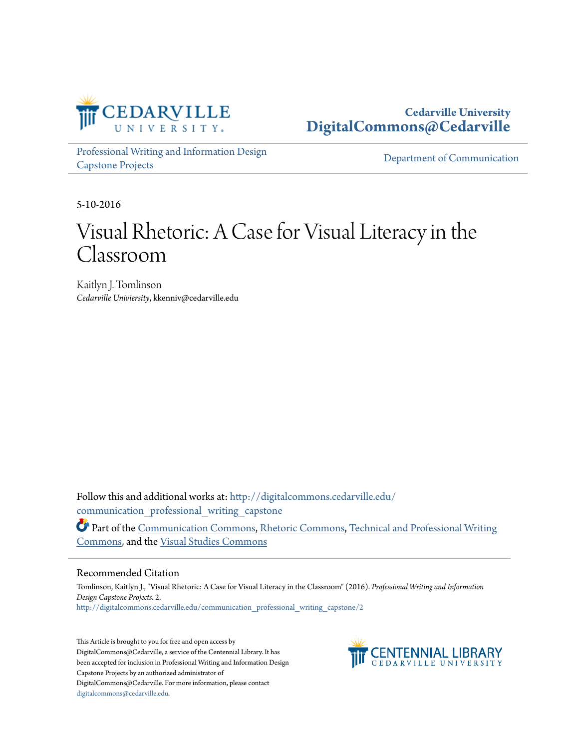

# **Cedarville University [DigitalCommons@Cedarville](http://digitalcommons.cedarville.edu?utm_source=digitalcommons.cedarville.edu%2Fcommunication_professional_writing_capstone%2F2&utm_medium=PDF&utm_campaign=PDFCoverPages)**

[Professional Writing and Information Design](http://digitalcommons.cedarville.edu/communication_professional_writing_capstone?utm_source=digitalcommons.cedarville.edu%2Fcommunication_professional_writing_capstone%2F2&utm_medium=PDF&utm_campaign=PDFCoverPages) [Capstone Projects](http://digitalcommons.cedarville.edu/communication_professional_writing_capstone?utm_source=digitalcommons.cedarville.edu%2Fcommunication_professional_writing_capstone%2F2&utm_medium=PDF&utm_campaign=PDFCoverPages)

[Department of Communication](http://digitalcommons.cedarville.edu/media_and_applied_communications?utm_source=digitalcommons.cedarville.edu%2Fcommunication_professional_writing_capstone%2F2&utm_medium=PDF&utm_campaign=PDFCoverPages)

5-10-2016

# Visual Rhetoric: A Case for Visual Literacy in the Classroom

Kaitlyn J. Tomlinson *Cedarville Univiersity*, kkenniv@cedarville.edu

Follow this and additional works at: [http://digitalcommons.cedarville.edu/](http://digitalcommons.cedarville.edu/communication_professional_writing_capstone?utm_source=digitalcommons.cedarville.edu%2Fcommunication_professional_writing_capstone%2F2&utm_medium=PDF&utm_campaign=PDFCoverPages) communication professional writing capstone

Part of the [Communication Commons](http://network.bepress.com/hgg/discipline/325?utm_source=digitalcommons.cedarville.edu%2Fcommunication_professional_writing_capstone%2F2&utm_medium=PDF&utm_campaign=PDFCoverPages), [Rhetoric Commons,](http://network.bepress.com/hgg/discipline/575?utm_source=digitalcommons.cedarville.edu%2Fcommunication_professional_writing_capstone%2F2&utm_medium=PDF&utm_campaign=PDFCoverPages) [Technical and Professional Writing](http://network.bepress.com/hgg/discipline/1347?utm_source=digitalcommons.cedarville.edu%2Fcommunication_professional_writing_capstone%2F2&utm_medium=PDF&utm_campaign=PDFCoverPages) [Commons,](http://network.bepress.com/hgg/discipline/1347?utm_source=digitalcommons.cedarville.edu%2Fcommunication_professional_writing_capstone%2F2&utm_medium=PDF&utm_campaign=PDFCoverPages) and the [Visual Studies Commons](http://network.bepress.com/hgg/discipline/564?utm_source=digitalcommons.cedarville.edu%2Fcommunication_professional_writing_capstone%2F2&utm_medium=PDF&utm_campaign=PDFCoverPages)

#### Recommended Citation

Tomlinson, Kaitlyn J., "Visual Rhetoric: A Case for Visual Literacy in the Classroom" (2016). *Professional Writing and Information Design Capstone Projects*. 2. [http://digitalcommons.cedarville.edu/communication\\_professional\\_writing\\_capstone/2](http://digitalcommons.cedarville.edu/communication_professional_writing_capstone/2?utm_source=digitalcommons.cedarville.edu%2Fcommunication_professional_writing_capstone%2F2&utm_medium=PDF&utm_campaign=PDFCoverPages)

This Article is brought to you for free and open access by DigitalCommons@Cedarville, a service of the Centennial Library. It has been accepted for inclusion in Professional Writing and Information Design Capstone Projects by an authorized administrator of DigitalCommons@Cedarville. For more information, please contact [digitalcommons@cedarville.edu](mailto:digitalcommons@cedarville.edu).

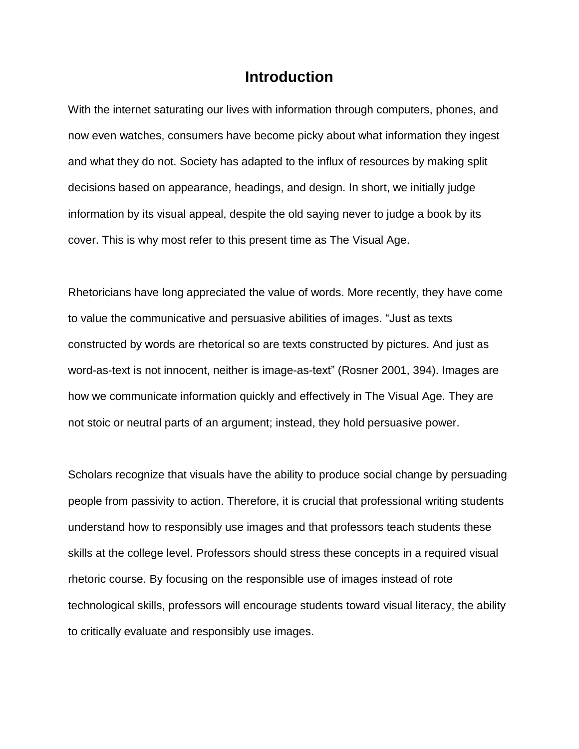# **Introduction**

With the internet saturating our lives with information through computers, phones, and now even watches, consumers have become picky about what information they ingest and what they do not. Society has adapted to the influx of resources by making split decisions based on appearance, headings, and design. In short, we initially judge information by its visual appeal, despite the old saying never to judge a book by its cover. This is why most refer to this present time as The Visual Age.

Rhetoricians have long appreciated the value of words. More recently, they have come to value the communicative and persuasive abilities of images. "Just as texts constructed by words are rhetorical so are texts constructed by pictures. And just as word-as-text is not innocent, neither is image-as-text" (Rosner 2001, 394). Images are how we communicate information quickly and effectively in The Visual Age. They are not stoic or neutral parts of an argument; instead, they hold persuasive power.

Scholars recognize that visuals have the ability to produce social change by persuading people from passivity to action. Therefore, it is crucial that professional writing students understand how to responsibly use images and that professors teach students these skills at the college level. Professors should stress these concepts in a required visual rhetoric course. By focusing on the responsible use of images instead of rote technological skills, professors will encourage students toward visual literacy, the ability to critically evaluate and responsibly use images.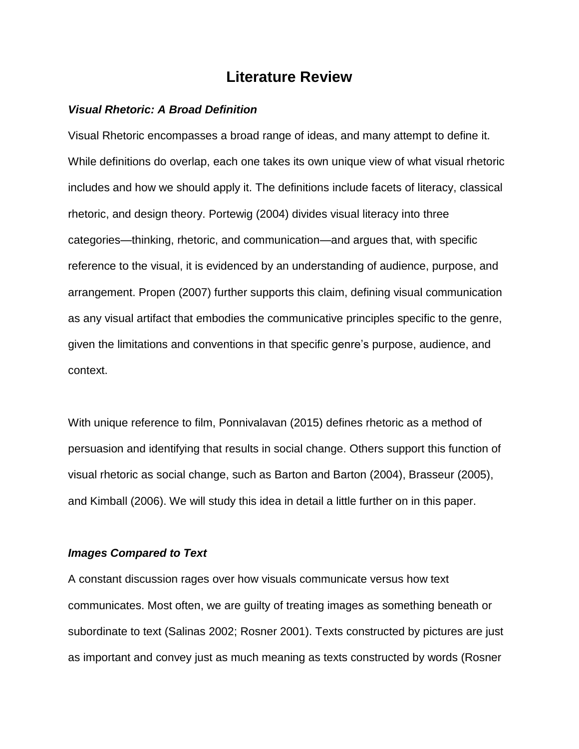# **Literature Review**

## *Visual Rhetoric: A Broad Definition*

Visual Rhetoric encompasses a broad range of ideas, and many attempt to define it. While definitions do overlap, each one takes its own unique view of what visual rhetoric includes and how we should apply it. The definitions include facets of literacy, classical rhetoric, and design theory. Portewig (2004) divides visual literacy into three categories—thinking, rhetoric, and communication—and argues that, with specific reference to the visual, it is evidenced by an understanding of audience, purpose, and arrangement. Propen (2007) further supports this claim, defining visual communication as any visual artifact that embodies the communicative principles specific to the genre, given the limitations and conventions in that specific genre's purpose, audience, and context.

With unique reference to film, Ponnivalavan (2015) defines rhetoric as a method of persuasion and identifying that results in social change. Others support this function of visual rhetoric as social change, such as Barton and Barton (2004), Brasseur (2005), and Kimball (2006). We will study this idea in detail a little further on in this paper.

## *Images Compared to Text*

A constant discussion rages over how visuals communicate versus how text communicates. Most often, we are guilty of treating images as something beneath or subordinate to text (Salinas 2002; Rosner 2001). Texts constructed by pictures are just as important and convey just as much meaning as texts constructed by words (Rosner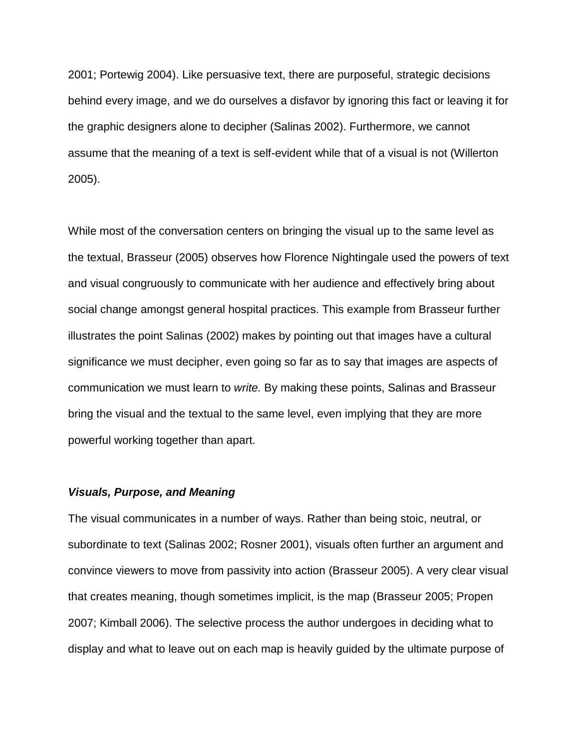2001; Portewig 2004). Like persuasive text, there are purposeful, strategic decisions behind every image, and we do ourselves a disfavor by ignoring this fact or leaving it for the graphic designers alone to decipher (Salinas 2002). Furthermore, we cannot assume that the meaning of a text is self-evident while that of a visual is not (Willerton 2005).

While most of the conversation centers on bringing the visual up to the same level as the textual, Brasseur (2005) observes how Florence Nightingale used the powers of text and visual congruously to communicate with her audience and effectively bring about social change amongst general hospital practices. This example from Brasseur further illustrates the point Salinas (2002) makes by pointing out that images have a cultural significance we must decipher, even going so far as to say that images are aspects of communication we must learn to *write.* By making these points, Salinas and Brasseur bring the visual and the textual to the same level, even implying that they are more powerful working together than apart.

#### *Visuals, Purpose, and Meaning*

The visual communicates in a number of ways. Rather than being stoic, neutral, or subordinate to text (Salinas 2002; Rosner 2001), visuals often further an argument and convince viewers to move from passivity into action (Brasseur 2005). A very clear visual that creates meaning, though sometimes implicit, is the map (Brasseur 2005; Propen 2007; Kimball 2006). The selective process the author undergoes in deciding what to display and what to leave out on each map is heavily guided by the ultimate purpose of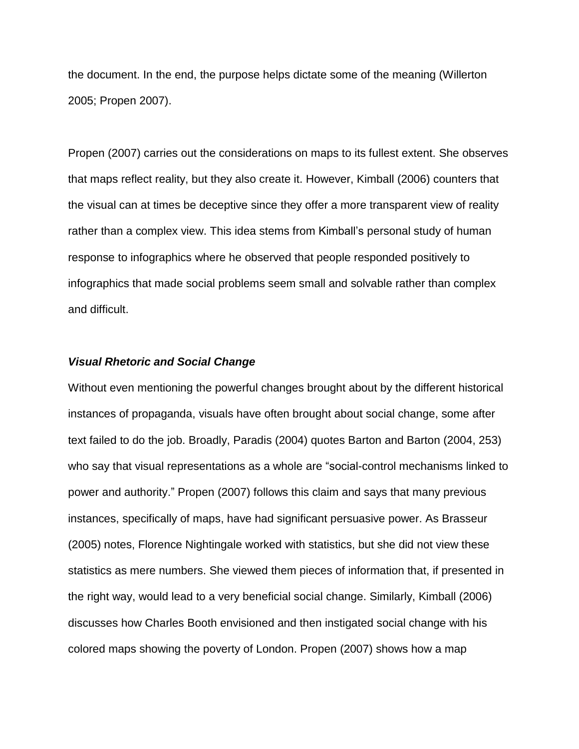the document. In the end, the purpose helps dictate some of the meaning (Willerton 2005; Propen 2007).

Propen (2007) carries out the considerations on maps to its fullest extent. She observes that maps reflect reality, but they also create it. However, Kimball (2006) counters that the visual can at times be deceptive since they offer a more transparent view of reality rather than a complex view. This idea stems from Kimball's personal study of human response to infographics where he observed that people responded positively to infographics that made social problems seem small and solvable rather than complex and difficult.

## *Visual Rhetoric and Social Change*

Without even mentioning the powerful changes brought about by the different historical instances of propaganda, visuals have often brought about social change, some after text failed to do the job. Broadly, Paradis (2004) quotes Barton and Barton (2004, 253) who say that visual representations as a whole are "social-control mechanisms linked to power and authority." Propen (2007) follows this claim and says that many previous instances, specifically of maps, have had significant persuasive power. As Brasseur (2005) notes, Florence Nightingale worked with statistics, but she did not view these statistics as mere numbers. She viewed them pieces of information that, if presented in the right way, would lead to a very beneficial social change. Similarly, Kimball (2006) discusses how Charles Booth envisioned and then instigated social change with his colored maps showing the poverty of London. Propen (2007) shows how a map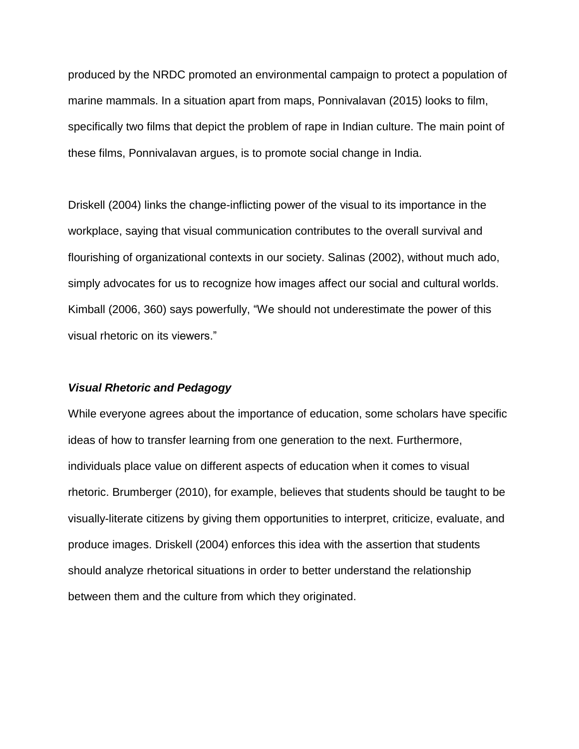produced by the NRDC promoted an environmental campaign to protect a population of marine mammals. In a situation apart from maps, Ponnivalavan (2015) looks to film, specifically two films that depict the problem of rape in Indian culture. The main point of these films, Ponnivalavan argues, is to promote social change in India.

Driskell (2004) links the change-inflicting power of the visual to its importance in the workplace, saying that visual communication contributes to the overall survival and flourishing of organizational contexts in our society. Salinas (2002), without much ado, simply advocates for us to recognize how images affect our social and cultural worlds. Kimball (2006, 360) says powerfully, "We should not underestimate the power of this visual rhetoric on its viewers."

#### *Visual Rhetoric and Pedagogy*

While everyone agrees about the importance of education, some scholars have specific ideas of how to transfer learning from one generation to the next. Furthermore, individuals place value on different aspects of education when it comes to visual rhetoric. Brumberger (2010), for example, believes that students should be taught to be visually-literate citizens by giving them opportunities to interpret, criticize, evaluate, and produce images. Driskell (2004) enforces this idea with the assertion that students should analyze rhetorical situations in order to better understand the relationship between them and the culture from which they originated.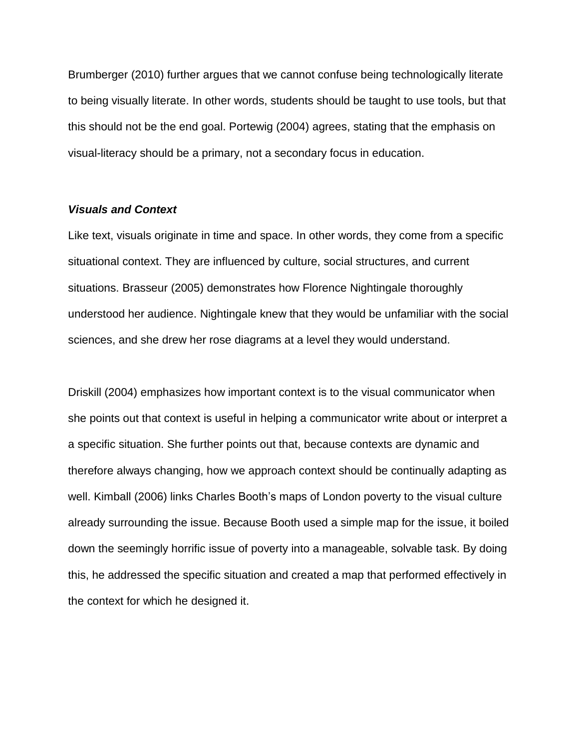Brumberger (2010) further argues that we cannot confuse being technologically literate to being visually literate. In other words, students should be taught to use tools, but that this should not be the end goal. Portewig (2004) agrees, stating that the emphasis on visual-literacy should be a primary, not a secondary focus in education.

# *Visuals and Context*

Like text, visuals originate in time and space. In other words, they come from a specific situational context. They are influenced by culture, social structures, and current situations. Brasseur (2005) demonstrates how Florence Nightingale thoroughly understood her audience. Nightingale knew that they would be unfamiliar with the social sciences, and she drew her rose diagrams at a level they would understand.

Driskill (2004) emphasizes how important context is to the visual communicator when she points out that context is useful in helping a communicator write about or interpret a a specific situation. She further points out that, because contexts are dynamic and therefore always changing, how we approach context should be continually adapting as well. Kimball (2006) links Charles Booth's maps of London poverty to the visual culture already surrounding the issue. Because Booth used a simple map for the issue, it boiled down the seemingly horrific issue of poverty into a manageable, solvable task. By doing this, he addressed the specific situation and created a map that performed effectively in the context for which he designed it.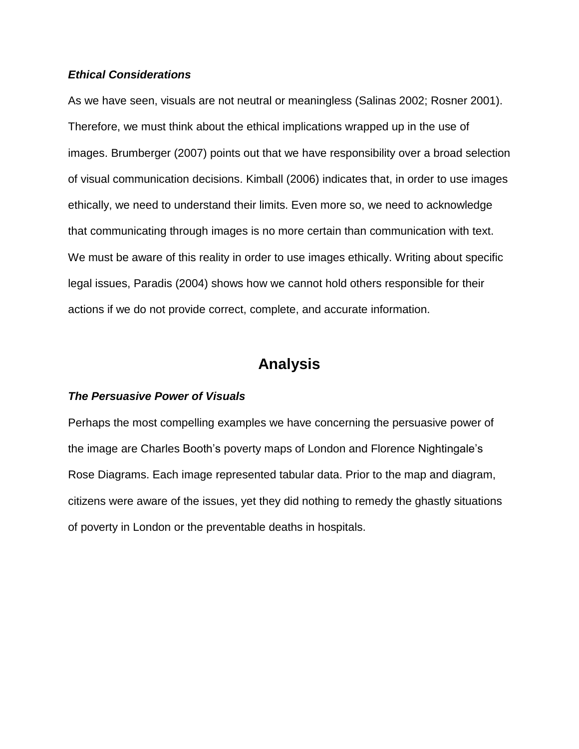# *Ethical Considerations*

As we have seen, visuals are not neutral or meaningless (Salinas 2002; Rosner 2001). Therefore, we must think about the ethical implications wrapped up in the use of images. Brumberger (2007) points out that we have responsibility over a broad selection of visual communication decisions. Kimball (2006) indicates that, in order to use images ethically, we need to understand their limits. Even more so, we need to acknowledge that communicating through images is no more certain than communication with text. We must be aware of this reality in order to use images ethically. Writing about specific legal issues, Paradis (2004) shows how we cannot hold others responsible for their actions if we do not provide correct, complete, and accurate information.

# **Analysis**

## *The Persuasive Power of Visuals*

Perhaps the most compelling examples we have concerning the persuasive power of the image are Charles Booth's poverty maps of London and Florence Nightingale's Rose Diagrams. Each image represented tabular data. Prior to the map and diagram, citizens were aware of the issues, yet they did nothing to remedy the ghastly situations of poverty in London or the preventable deaths in hospitals.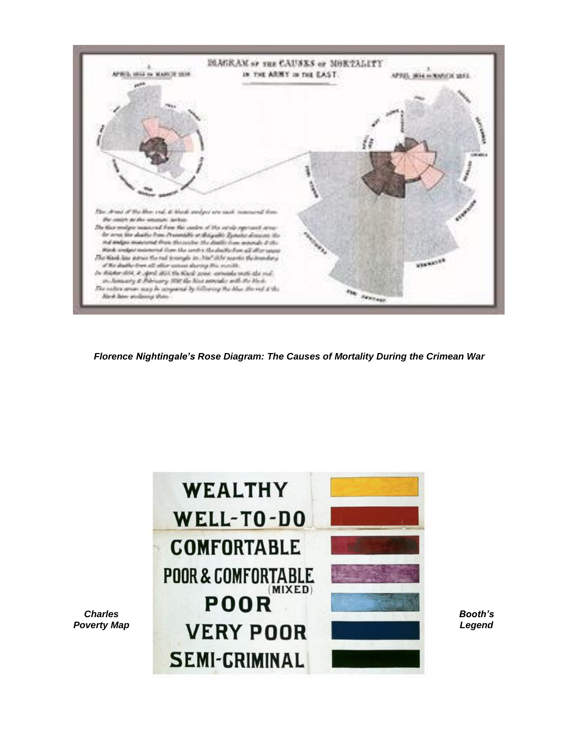

*Florence Nightingale's Rose Diagram: The Causes of Mortality During the Crimean War*

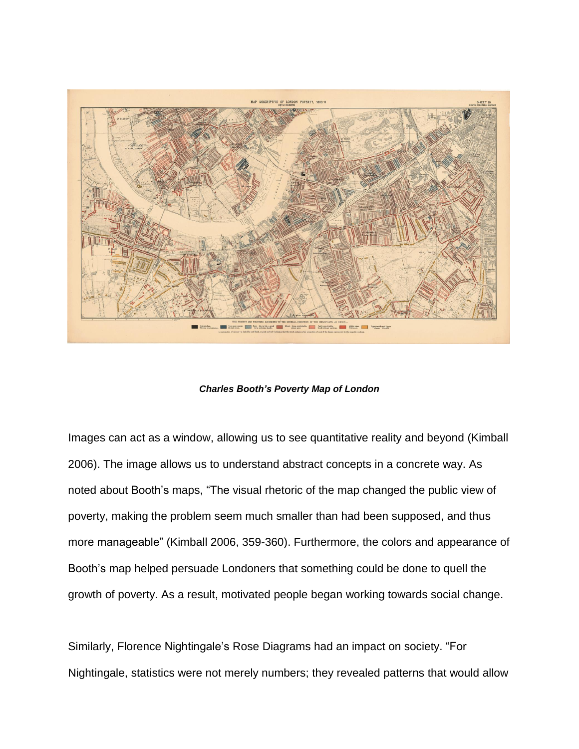

*Charles Booth's Poverty Map of London*

Images can act as a window, allowing us to see quantitative reality and beyond (Kimball 2006). The image allows us to understand abstract concepts in a concrete way. As noted about Booth's maps, "The visual rhetoric of the map changed the public view of poverty, making the problem seem much smaller than had been supposed, and thus more manageable" (Kimball 2006, 359-360). Furthermore, the colors and appearance of Booth's map helped persuade Londoners that something could be done to quell the growth of poverty. As a result, motivated people began working towards social change.

Similarly, Florence Nightingale's Rose Diagrams had an impact on society. "For Nightingale, statistics were not merely numbers; they revealed patterns that would allow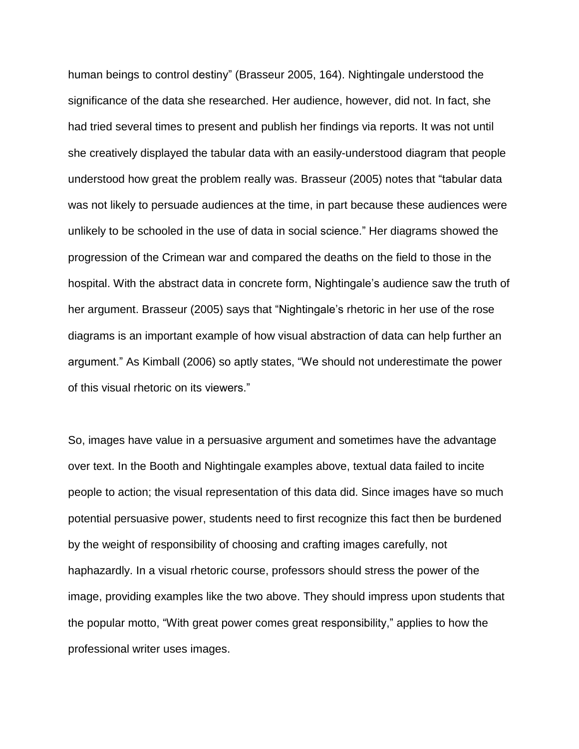human beings to control destiny" (Brasseur 2005, 164). Nightingale understood the significance of the data she researched. Her audience, however, did not. In fact, she had tried several times to present and publish her findings via reports. It was not until she creatively displayed the tabular data with an easily-understood diagram that people understood how great the problem really was. Brasseur (2005) notes that "tabular data was not likely to persuade audiences at the time, in part because these audiences were unlikely to be schooled in the use of data in social science." Her diagrams showed the progression of the Crimean war and compared the deaths on the field to those in the hospital. With the abstract data in concrete form, Nightingale's audience saw the truth of her argument. Brasseur (2005) says that "Nightingale's rhetoric in her use of the rose diagrams is an important example of how visual abstraction of data can help further an argument." As Kimball (2006) so aptly states, "We should not underestimate the power of this visual rhetoric on its viewers."

So, images have value in a persuasive argument and sometimes have the advantage over text. In the Booth and Nightingale examples above, textual data failed to incite people to action; the visual representation of this data did. Since images have so much potential persuasive power, students need to first recognize this fact then be burdened by the weight of responsibility of choosing and crafting images carefully, not haphazardly. In a visual rhetoric course, professors should stress the power of the image, providing examples like the two above. They should impress upon students that the popular motto, "With great power comes great responsibility," applies to how the professional writer uses images.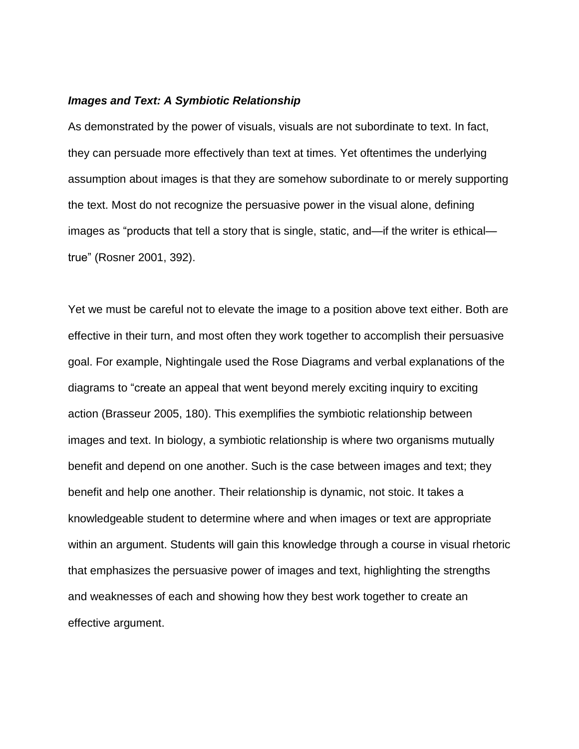# *Images and Text: A Symbiotic Relationship*

As demonstrated by the power of visuals, visuals are not subordinate to text. In fact, they can persuade more effectively than text at times. Yet oftentimes the underlying assumption about images is that they are somehow subordinate to or merely supporting the text. Most do not recognize the persuasive power in the visual alone, defining images as "products that tell a story that is single, static, and—if the writer is ethical true" (Rosner 2001, 392).

Yet we must be careful not to elevate the image to a position above text either. Both are effective in their turn, and most often they work together to accomplish their persuasive goal. For example, Nightingale used the Rose Diagrams and verbal explanations of the diagrams to "create an appeal that went beyond merely exciting inquiry to exciting action (Brasseur 2005, 180). This exemplifies the symbiotic relationship between images and text. In biology, a symbiotic relationship is where two organisms mutually benefit and depend on one another. Such is the case between images and text; they benefit and help one another. Their relationship is dynamic, not stoic. It takes a knowledgeable student to determine where and when images or text are appropriate within an argument. Students will gain this knowledge through a course in visual rhetoric that emphasizes the persuasive power of images and text, highlighting the strengths and weaknesses of each and showing how they best work together to create an effective argument.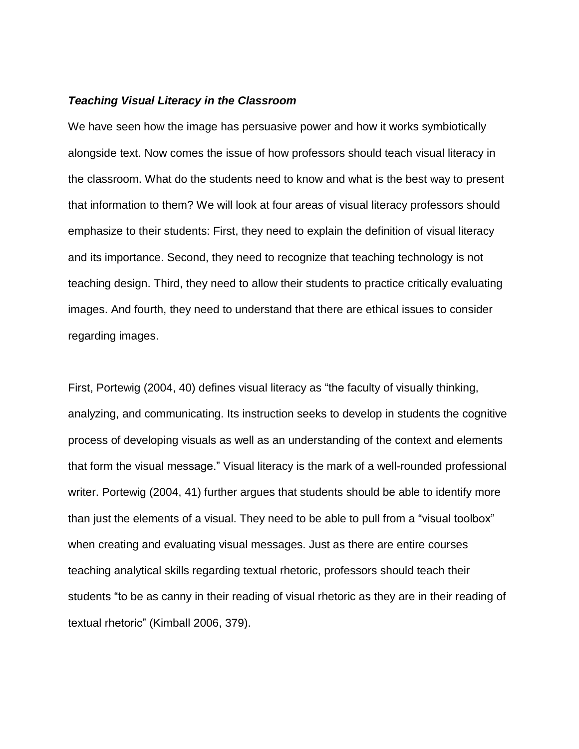## *Teaching Visual Literacy in the Classroom*

We have seen how the image has persuasive power and how it works symbiotically alongside text. Now comes the issue of how professors should teach visual literacy in the classroom. What do the students need to know and what is the best way to present that information to them? We will look at four areas of visual literacy professors should emphasize to their students: First, they need to explain the definition of visual literacy and its importance. Second, they need to recognize that teaching technology is not teaching design. Third, they need to allow their students to practice critically evaluating images. And fourth, they need to understand that there are ethical issues to consider regarding images.

First, Portewig (2004, 40) defines visual literacy as "the faculty of visually thinking, analyzing, and communicating. Its instruction seeks to develop in students the cognitive process of developing visuals as well as an understanding of the context and elements that form the visual message." Visual literacy is the mark of a well-rounded professional writer. Portewig (2004, 41) further argues that students should be able to identify more than just the elements of a visual. They need to be able to pull from a "visual toolbox" when creating and evaluating visual messages. Just as there are entire courses teaching analytical skills regarding textual rhetoric, professors should teach their students "to be as canny in their reading of visual rhetoric as they are in their reading of textual rhetoric" (Kimball 2006, 379).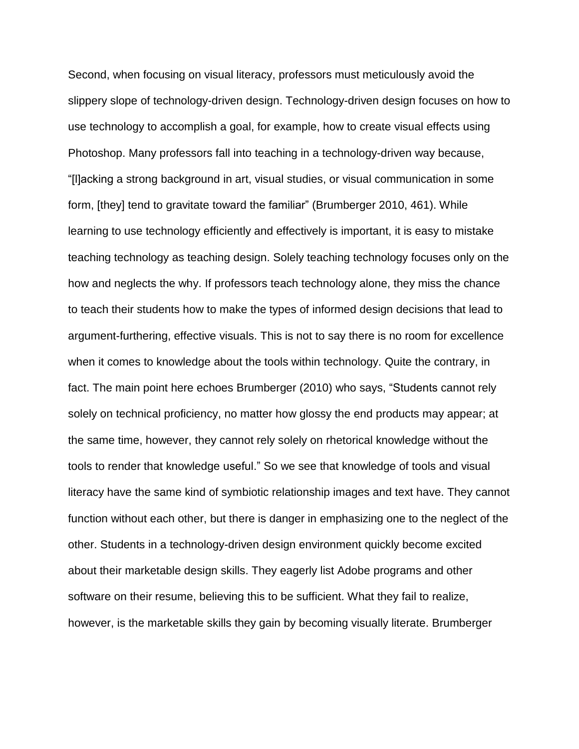Second, when focusing on visual literacy, professors must meticulously avoid the slippery slope of technology-driven design. Technology-driven design focuses on how to use technology to accomplish a goal, for example, how to create visual effects using Photoshop. Many professors fall into teaching in a technology-driven way because, "[l]acking a strong background in art, visual studies, or visual communication in some form, [they] tend to gravitate toward the familiar" (Brumberger 2010, 461). While learning to use technology efficiently and effectively is important, it is easy to mistake teaching technology as teaching design. Solely teaching technology focuses only on the how and neglects the why. If professors teach technology alone, they miss the chance to teach their students how to make the types of informed design decisions that lead to argument-furthering, effective visuals. This is not to say there is no room for excellence when it comes to knowledge about the tools within technology. Quite the contrary, in fact. The main point here echoes Brumberger (2010) who says, "Students cannot rely solely on technical proficiency, no matter how glossy the end products may appear; at the same time, however, they cannot rely solely on rhetorical knowledge without the tools to render that knowledge useful." So we see that knowledge of tools and visual literacy have the same kind of symbiotic relationship images and text have. They cannot function without each other, but there is danger in emphasizing one to the neglect of the other. Students in a technology-driven design environment quickly become excited about their marketable design skills. They eagerly list Adobe programs and other software on their resume, believing this to be sufficient. What they fail to realize, however, is the marketable skills they gain by becoming visually literate. Brumberger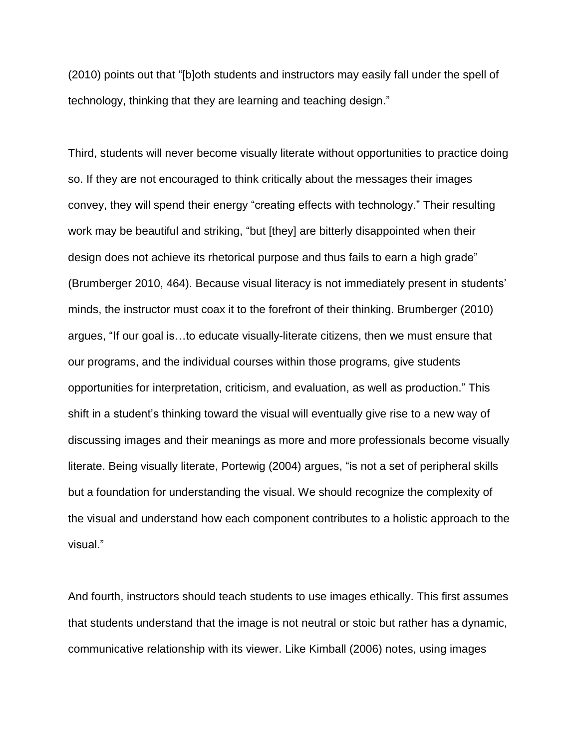(2010) points out that "[b]oth students and instructors may easily fall under the spell of technology, thinking that they are learning and teaching design."

Third, students will never become visually literate without opportunities to practice doing so. If they are not encouraged to think critically about the messages their images convey, they will spend their energy "creating effects with technology." Their resulting work may be beautiful and striking, "but [they] are bitterly disappointed when their design does not achieve its rhetorical purpose and thus fails to earn a high grade" (Brumberger 2010, 464). Because visual literacy is not immediately present in students' minds, the instructor must coax it to the forefront of their thinking. Brumberger (2010) argues, "If our goal is…to educate visually-literate citizens, then we must ensure that our programs, and the individual courses within those programs, give students opportunities for interpretation, criticism, and evaluation, as well as production." This shift in a student's thinking toward the visual will eventually give rise to a new way of discussing images and their meanings as more and more professionals become visually literate. Being visually literate, Portewig (2004) argues, "is not a set of peripheral skills but a foundation for understanding the visual. We should recognize the complexity of the visual and understand how each component contributes to a holistic approach to the visual."

And fourth, instructors should teach students to use images ethically. This first assumes that students understand that the image is not neutral or stoic but rather has a dynamic, communicative relationship with its viewer. Like Kimball (2006) notes, using images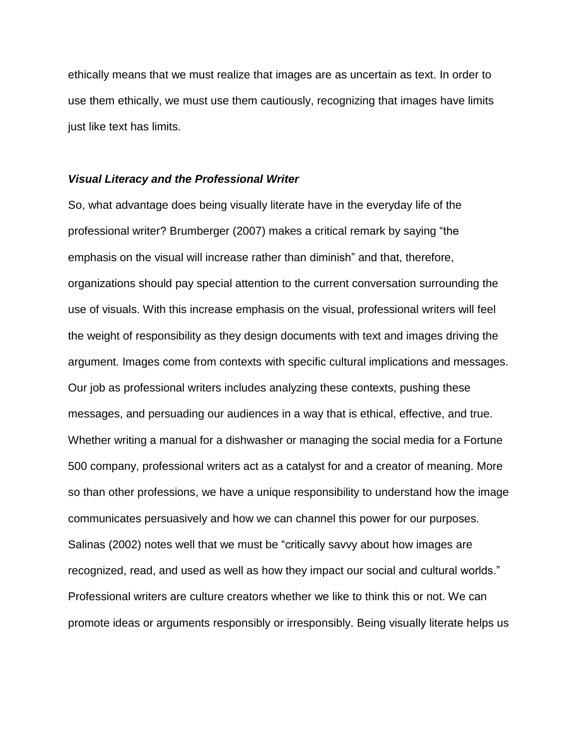ethically means that we must realize that images are as uncertain as text. In order to use them ethically, we must use them cautiously, recognizing that images have limits just like text has limits.

#### *Visual Literacy and the Professional Writer*

So, what advantage does being visually literate have in the everyday life of the professional writer? Brumberger (2007) makes a critical remark by saying "the emphasis on the visual will increase rather than diminish" and that, therefore, organizations should pay special attention to the current conversation surrounding the use of visuals. With this increase emphasis on the visual, professional writers will feel the weight of responsibility as they design documents with text and images driving the argument. Images come from contexts with specific cultural implications and messages. Our job as professional writers includes analyzing these contexts, pushing these messages, and persuading our audiences in a way that is ethical, effective, and true. Whether writing a manual for a dishwasher or managing the social media for a Fortune 500 company, professional writers act as a catalyst for and a creator of meaning. More so than other professions, we have a unique responsibility to understand how the image communicates persuasively and how we can channel this power for our purposes. Salinas (2002) notes well that we must be "critically savvy about how images are recognized, read, and used as well as how they impact our social and cultural worlds." Professional writers are culture creators whether we like to think this or not. We can promote ideas or arguments responsibly or irresponsibly. Being visually literate helps us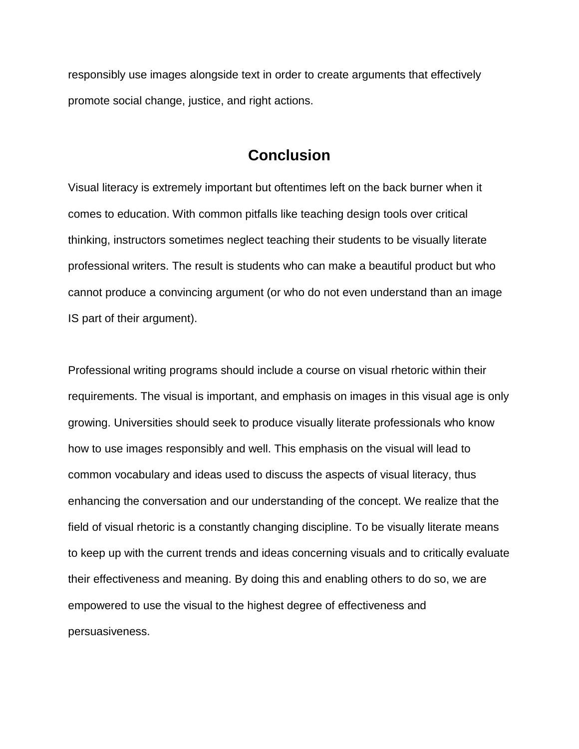responsibly use images alongside text in order to create arguments that effectively promote social change, justice, and right actions.

# **Conclusion**

Visual literacy is extremely important but oftentimes left on the back burner when it comes to education. With common pitfalls like teaching design tools over critical thinking, instructors sometimes neglect teaching their students to be visually literate professional writers. The result is students who can make a beautiful product but who cannot produce a convincing argument (or who do not even understand than an image IS part of their argument).

Professional writing programs should include a course on visual rhetoric within their requirements. The visual is important, and emphasis on images in this visual age is only growing. Universities should seek to produce visually literate professionals who know how to use images responsibly and well. This emphasis on the visual will lead to common vocabulary and ideas used to discuss the aspects of visual literacy, thus enhancing the conversation and our understanding of the concept. We realize that the field of visual rhetoric is a constantly changing discipline. To be visually literate means to keep up with the current trends and ideas concerning visuals and to critically evaluate their effectiveness and meaning. By doing this and enabling others to do so, we are empowered to use the visual to the highest degree of effectiveness and persuasiveness.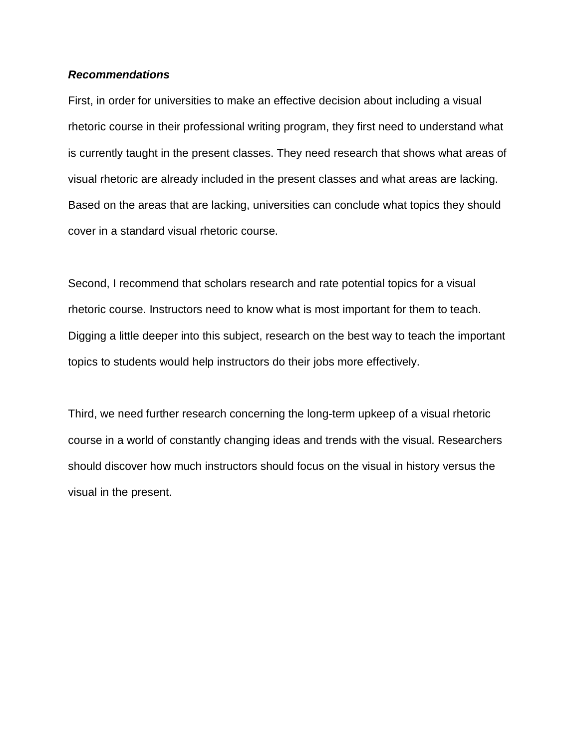## *Recommendations*

First, in order for universities to make an effective decision about including a visual rhetoric course in their professional writing program, they first need to understand what is currently taught in the present classes. They need research that shows what areas of visual rhetoric are already included in the present classes and what areas are lacking. Based on the areas that are lacking, universities can conclude what topics they should cover in a standard visual rhetoric course.

Second, I recommend that scholars research and rate potential topics for a visual rhetoric course. Instructors need to know what is most important for them to teach. Digging a little deeper into this subject, research on the best way to teach the important topics to students would help instructors do their jobs more effectively.

Third, we need further research concerning the long-term upkeep of a visual rhetoric course in a world of constantly changing ideas and trends with the visual. Researchers should discover how much instructors should focus on the visual in history versus the visual in the present.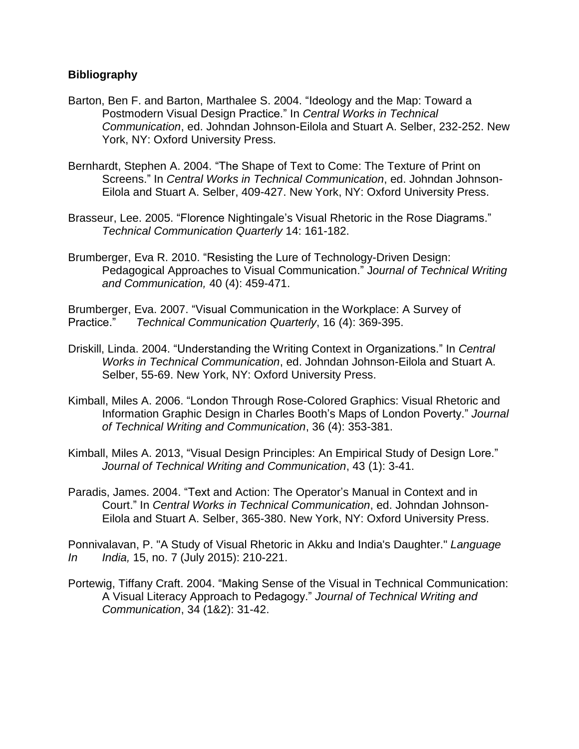# **Bibliography**

- Barton, Ben F. and Barton, Marthalee S. 2004. "Ideology and the Map: Toward a Postmodern Visual Design Practice." In *Central Works in Technical Communication*, ed. Johndan Johnson-Eilola and Stuart A. Selber, 232-252. New York, NY: Oxford University Press.
- Bernhardt, Stephen A. 2004. "The Shape of Text to Come: The Texture of Print on Screens." In *Central Works in Technical Communication*, ed. Johndan Johnson-Eilola and Stuart A. Selber, 409-427. New York, NY: Oxford University Press.
- Brasseur, Lee. 2005. "Florence Nightingale's Visual Rhetoric in the Rose Diagrams." *Technical Communication Quarterly* 14: 161-182.
- Brumberger, Eva R. 2010. "Resisting the Lure of Technology-Driven Design: Pedagogical Approaches to Visual Communication." J*ournal of Technical Writing and Communication,* 40 (4): 459-471.

Brumberger, Eva. 2007. "Visual Communication in the Workplace: A Survey of Practice." *Technical Communication Quarterly*, 16 (4): 369-395.

- Driskill, Linda. 2004. "Understanding the Writing Context in Organizations." In *Central Works in Technical Communication*, ed. Johndan Johnson-Eilola and Stuart A. Selber, 55-69. New York, NY: Oxford University Press.
- Kimball, Miles A. 2006. "London Through Rose-Colored Graphics: Visual Rhetoric and Information Graphic Design in Charles Booth's Maps of London Poverty." *Journal of Technical Writing and Communication*, 36 (4): 353-381.
- Kimball, Miles A. 2013, "Visual Design Principles: An Empirical Study of Design Lore." *Journal of Technical Writing and Communication*, 43 (1): 3-41.
- Paradis, James. 2004. "Text and Action: The Operator's Manual in Context and in Court." In *Central Works in Technical Communication*, ed. Johndan Johnson-Eilola and Stuart A. Selber, 365-380. New York, NY: Oxford University Press.

Ponnivalavan, P. "A Study of Visual Rhetoric in Akku and India's Daughter." *Language In India,* 15, no. 7 (July 2015): 210-221.

Portewig, Tiffany Craft. 2004. "Making Sense of the Visual in Technical Communication: A Visual Literacy Approach to Pedagogy." *Journal of Technical Writing and Communication*, 34 (1&2): 31-42.